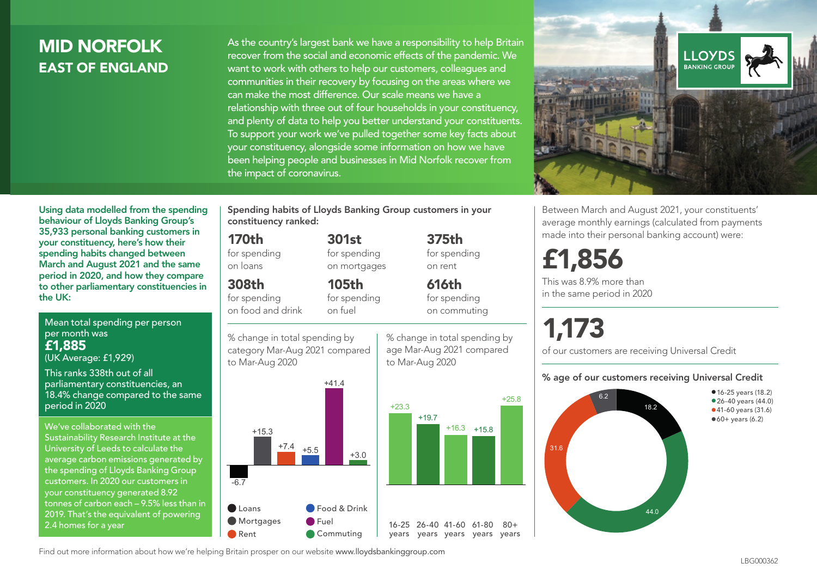## MID NORFOLK EAST OF ENGLAND

As the country's largest bank we have a responsibility to help Britain recover from the social and economic effects of the pandemic. We want to work with others to help our customers, colleagues and communities in their recovery by focusing on the areas where we can make the most difference. Our scale means we have a relationship with three out of four households in your constituency, and plenty of data to help you better understand your constituents. To support your work we've pulled together some key facts about your constituency, alongside some information on how we have been helping people and businesses in Mid Norfolk recover from the impact of coronavirus.



Between March and August 2021, your constituents' average monthly earnings (calculated from payments made into their personal banking account) were:

## £1,856

This was 8.9% more than in the same period in 2020

# 1,173

of our customers are receiving Universal Credit

#### % age of our customers receiving Universal Credit



Using data modelled from the spending behaviour of Lloyds Banking Group's 35,933 personal banking customers in your constituency, here's how their spending habits changed between March and August 2021 and the same period in 2020, and how they compare to other parliamentary constituencies in the UK:

Mean total spending per person per month was £1,885 (UK Average: £1,929)

This ranks 338th out of all parliamentary constituencies, an 18.4% change compared to the same period in 2020

We've collaborated with the Sustainability Research Institute at the University of Leeds to calculate the average carbon emissions generated by the spending of Lloyds Banking Group customers. In 2020 our customers in your constituency generated 8.92 tonnes of carbon each – 9.5% less than in 2019. That's the equivalent of powering 2.4 homes for a year

Spending habits of Lloyds Banking Group customers in your constituency ranked:

> 301st for spending on mortgages

105th

#### 170th

for spending on loans

## 308th

for spending on food and drink

% change in total spending by

category Mar-Aug 2021 compared to Mar-Aug 2020



% change in total spending by age Mar-Aug 2021 compared to Mar-Aug 2020

375th for spending on rent 616th

for spending on fuel

for spending on commuting

 $+16.3 +15.8$ 

+25.8

 $80 +$ 

Find out more information about how we're helping Britain prosper on our website www.lloydsbankinggroup.com